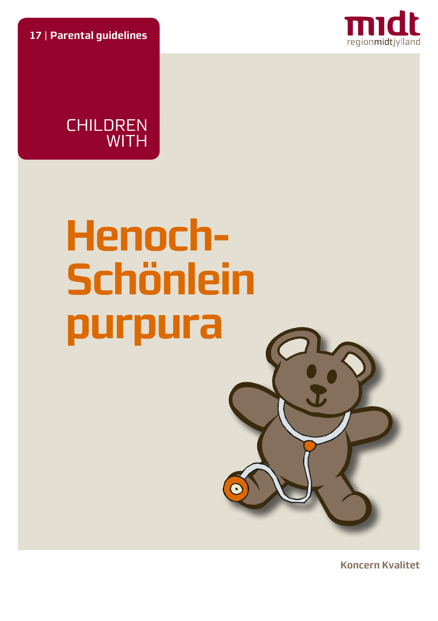**17** | **Parental guidelines**





# **Henoch-Schönlein purpura**



**Koncern Kvalitet**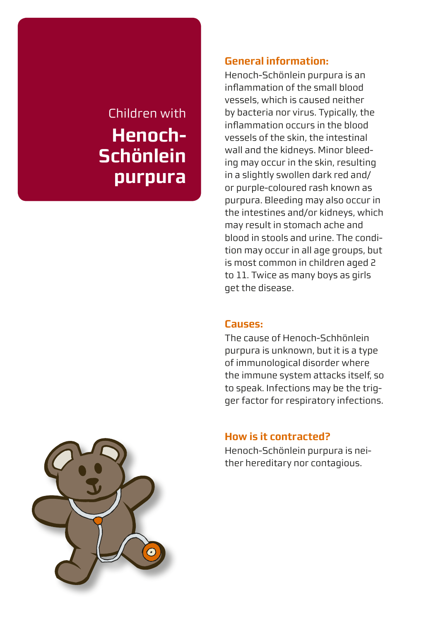# Children with **Henoch-Schönlein purpura**

### **General information:**

Henoch-Schönlein purpura is an inflammation of the small blood vessels, which is caused neither by bacteria nor virus. Typically, the inflammation occurs in the blood vessels of the skin, the intestinal wall and the kidneys. Minor bleeding may occur in the skin, resulting in a slightly swollen dark red and/ or purple-coloured rash known as purpura. Bleeding may also occur in the intestines and/or kidneys, which may result in stomach ache and blood in stools and urine. The condition may occur in all age groups, but is most common in children aged 2 to 11. Twice as many boys as girls get the disease.

#### **Causes:**

The cause of Henoch-Schhönlein purpura is unknown, but it is a type of immunological disorder where the immune system attacks itself, so to speak. Infections may be the trigger factor for respiratory infections.

# **How is it contracted?**

Henoch-Schönlein purpura is neither hereditary nor contagious.

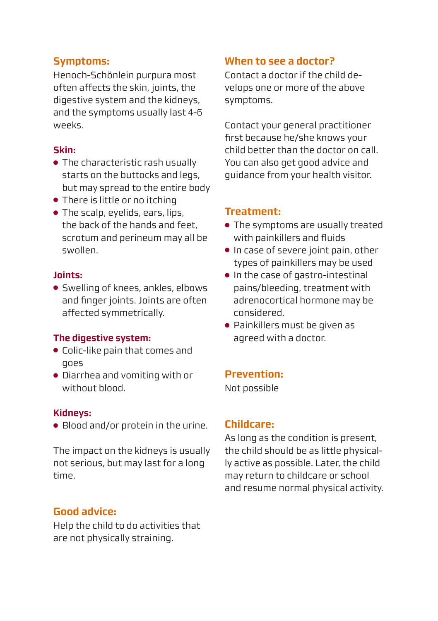# **Symptoms:**

Henoch-Schönlein purpura most often affects the skin, joints, the digestive system and the kidneys, and the symptoms usually last 4-6 weeks.

#### **Skin:**

- The characteristic rash usually starts on the buttocks and legs, but may spread to the entire body
- There is little or no itching
- The scalp, eyelids, ears, lips, the back of the hands and feet, scrotum and perineum may all be swollen.

#### **Joints:**

● Swelling of knees, ankles, elbows and finger joints. Joints are often affected symmetrically.

#### **The digestive system:**

- Colic-like pain that comes and goes
- Diarrhea and vomiting with or without blood.

#### **Kidneys:**

● Blood and/or protein in the urine.

The impact on the kidneys is usually not serious, but may last for a long time.

# **Good advice:**

Help the child to do activities that are not physically straining.

# **When to see a doctor?**

Contact a doctor if the child develops one or more of the above symptoms.

Contact your general practitioner first because he/she knows your child better than the doctor on call. You can also get good advice and guidance from your health visitor.

# **Treatment:**

- The symptoms are usually treated with painkillers and fluids
- In case of severe joint pain, other types of painkillers may be used
- In the case of gastro-intestinal pains/bleeding, treatment with adrenocortical hormone may be considered.
- Painkillers must be given as agreed with a doctor.

#### **Prevention:**

Not possible

# **Childcare:**

As long as the condition is present, the child should be as little physically active as possible. Later, the child may return to childcare or school and resume normal physical activity.